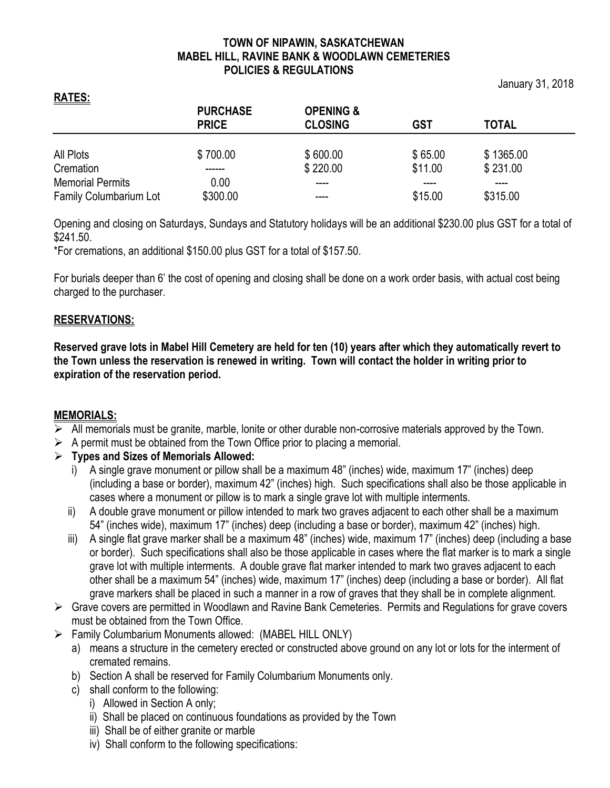## **TOWN OF NIPAWIN, SASKATCHEWAN MABEL HILL, RAVINE BANK & WOODLAWN CEMETERIES POLICIES & REGULATIONS**

January 31, 2018

|                               | <b>PURCHASE</b><br><b>PRICE</b> | <b>OPENING &amp;</b><br><b>CLOSING</b> | <b>GST</b> | <b>TOTAL</b> |  |
|-------------------------------|---------------------------------|----------------------------------------|------------|--------------|--|
|                               |                                 |                                        |            |              |  |
|                               |                                 |                                        |            |              |  |
| All Plots                     | \$700.00                        | \$600.00                               | \$65.00    | \$1365.00    |  |
| Cremation                     |                                 | \$220.00                               | \$11.00    | \$231.00     |  |
| <b>Memorial Permits</b>       | 0.00                            |                                        |            |              |  |
| <b>Family Columbarium Lot</b> | \$300.00                        | ----                                   | \$15.00    | \$315.00     |  |

Opening and closing on Saturdays, Sundays and Statutory holidays will be an additional \$230.00 plus GST for a total of \$241.50.

\*For cremations, an additional \$150.00 plus GST for a total of \$157.50.

For burials deeper than 6' the cost of opening and closing shall be done on a work order basis, with actual cost being charged to the purchaser.

## **RESERVATIONS:**

**RATES:**

**Reserved grave lots in Mabel Hill Cemetery are held for ten (10) years after which they automatically revert to the Town unless the reservation is renewed in writing. Town will contact the holder in writing prior to expiration of the reservation period.**

## **MEMORIALS:**

- $\triangleright$  All memorials must be granite, marble, lonite or other durable non-corrosive materials approved by the Town.
- $\triangleright$  A permit must be obtained from the Town Office prior to placing a memorial.

## ➢ **Types and Sizes of Memorials Allowed:**

- i) A single grave monument or pillow shall be a maximum 48" (inches) wide, maximum 17" (inches) deep (including a base or border), maximum 42" (inches) high. Such specifications shall also be those applicable in cases where a monument or pillow is to mark a single grave lot with multiple interments.
- ii) A double grave monument or pillow intended to mark two graves adjacent to each other shall be a maximum 54" (inches wide), maximum 17" (inches) deep (including a base or border), maximum 42" (inches) high.
- iii) A single flat grave marker shall be a maximum 48" (inches) wide, maximum 17" (inches) deep (including a base or border). Such specifications shall also be those applicable in cases where the flat marker is to mark a single grave lot with multiple interments. A double grave flat marker intended to mark two graves adjacent to each other shall be a maximum 54" (inches) wide, maximum 17" (inches) deep (including a base or border). All flat grave markers shall be placed in such a manner in a row of graves that they shall be in complete alignment.
- ➢ Grave covers are permitted in Woodlawn and Ravine Bank Cemeteries. Permits and Regulations for grave covers must be obtained from the Town Office.
- ➢ Family Columbarium Monuments allowed: (MABEL HILL ONLY)
	- a) means a structure in the cemetery erected or constructed above ground on any lot or lots for the interment of cremated remains.
	- b) Section A shall be reserved for Family Columbarium Monuments only.
	- c) shall conform to the following:
		- i) Allowed in Section A only;
		- ii) Shall be placed on continuous foundations as provided by the Town
		- iii) Shall be of either granite or marble
		- iv) Shall conform to the following specifications: